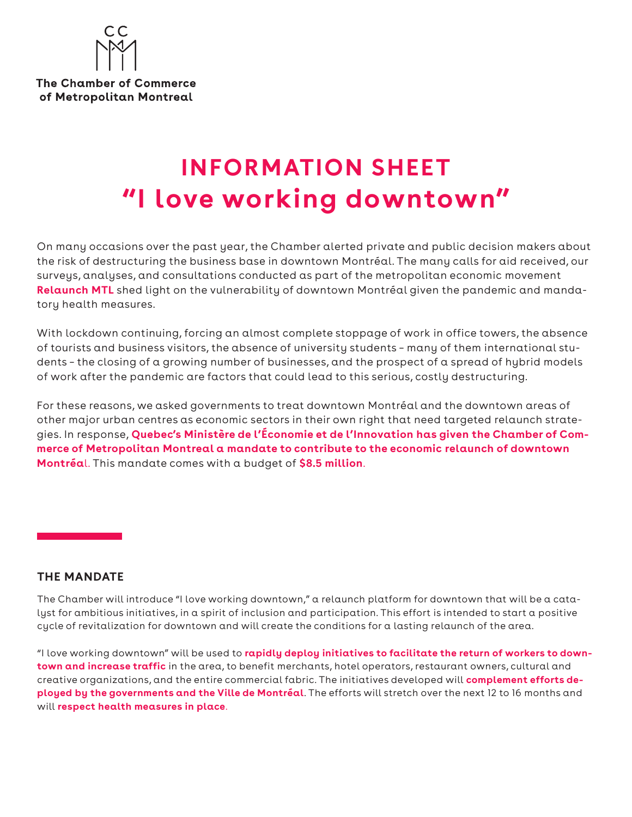

**The Chamber of Commerce** of Metropolitan Montreal

# **INFORMATION SHEET "I love working downtown"**

On many occasions over the past year, the Chamber alerted private and public decision makers about the risk of destructuring the business base in downtown Montréal. The many calls for aid received, our surveys, analyses, and consultations conducted as part of the metropolitan economic movement **Relaunch MTL** shed light on the vulnerability of downtown Montréal given the pandemic and mandatory health measures.

With lockdown continuing, forcing an almost complete stoppage of work in office towers, the absence of tourists and business visitors, the absence of university students – many of them international students – the closing of a growing number of businesses, and the prospect of a spread of hybrid models of work after the pandemic are factors that could lead to this serious, costly destructuring.

For these reasons, we asked governments to treat downtown Montréal and the downtown areas of other major urban centres as economic sectors in their own right that need targeted relaunch strategies. In response, **Quebec's Ministère de l'Économie et de l'Innovation has given the Chamber of Commerce of Metropolitan Montreal a mandate to contribute to the economic relaunch of downtown Montréa**l. This mandate comes with a budget of **\$8.5 million**.

#### **THE MANDATE**

The Chamber will introduce "I love working downtown," a relaunch platform for downtown that will be a catalyst for ambitious initiatives, in a spirit of inclusion and participation. This effort is intended to start a positive cycle of revitalization for downtown and will create the conditions for a lasting relaunch of the area.

"I love working downtown" will be used to **rapidly deploy initiatives to facilitate the return of workers to downtown and increase traffic** in the area, to benefit merchants, hotel operators, restaurant owners, cultural and creative organizations, and the entire commercial fabric. The initiatives developed will **complement efforts deployed by the governments and the Ville de Montréal**. The efforts will stretch over the next 12 to 16 months and will **respect health measures in place**.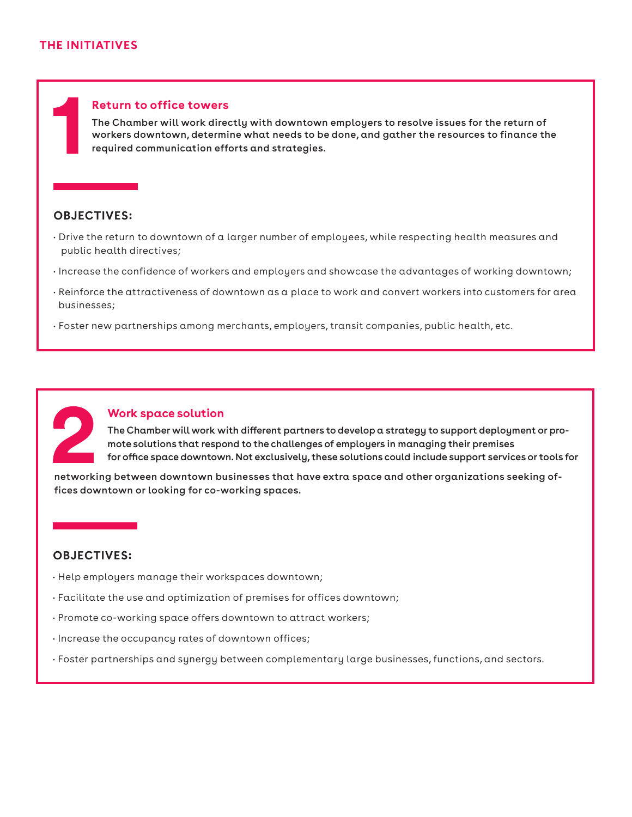#### **Return to office towers**

The Chamber will work directly with downtown employers to resolve issues for the return of workers downtown, determine what needs to be done, and gather the resources to finance the required communication efforts and strategies.

# **OBJECTIVES:**

- Drive the return to downtown of a larger number of employees, while respecting health measures and public health directives;
- Increase the confidence of workers and employers and showcase the advantages of working downtown;
- Reinforce the attractiveness of downtown as a place to work and convert workers into customers for area businesses;
- Foster new partnerships among merchants, employers, transit companies, public health, etc.



#### **Work space solution**

The Chamber will work with different partners to develop a strategy to support deployment or promote solutions that respond to the challenges of employers in managing their premises for office space downtown. Not exclusively, these solutions could include support services or tools for

networking between downtown businesses that have extra space and other organizations seeking offices downtown or looking for co-working spaces.

# **OBJECTIVES:**

- Help employers manage their workspaces downtown;
- Facilitate the use and optimization of premises for offices downtown;
- Promote co-working space offers downtown to attract workers;
- Increase the occupancy rates of downtown offices;
- Foster partnerships and synergy between complementary large businesses, functions, and sectors.